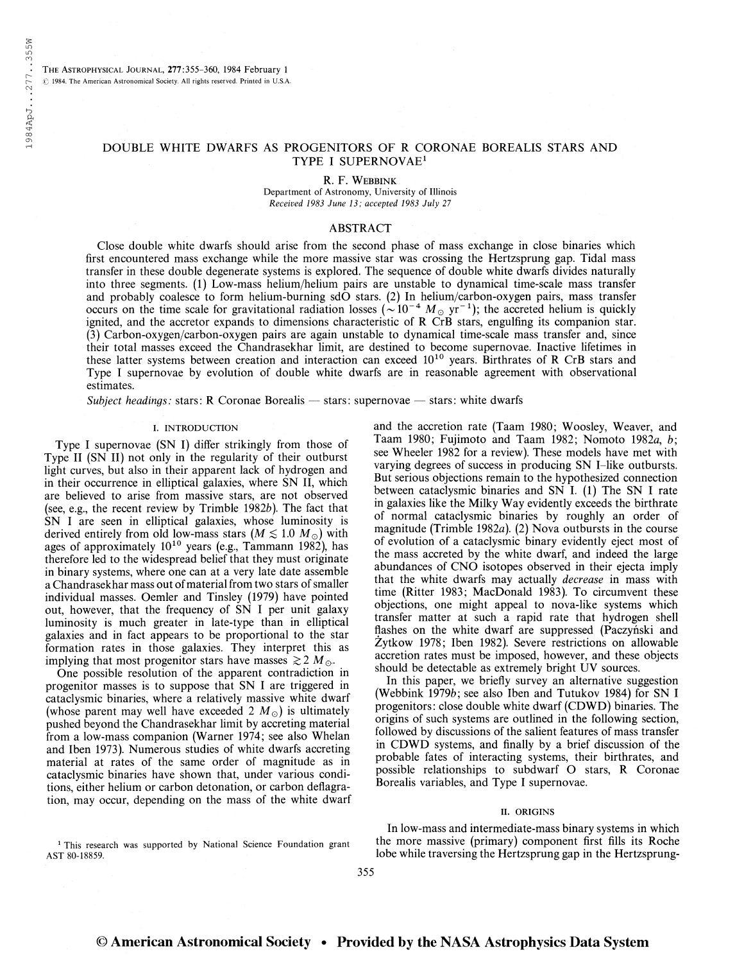The Astrophysical Journal, 277:355-360, 1984 February <sup>1</sup>  $©$  1984. The American Astronomical Society. All rights reserved. Printed in U.S.A.

## DOUBLE WHITE DWARFS AS PROGENITORS OF R CORONAE BOREALIS STARS AND TYPE I SUPERNOVAE<sup>1</sup>

R. F. Webbink

Department of Astronomy, University of Illinois Received 1983 June 13; accepted 1983 July 21

# ABSTRACT

Close double white dwarfs should arise from the second phase of mass exchange in close binaries which first encountered mass exchange while the more massive star was crossing the Hertzsprung gap. Tidal mass transfer in these double degenerate systems is explored. The sequence of double white dwarfs divides naturally into three segments. (1) Low-mass helium/helium pairs are unstable to dynamical time-scale mass transfer and probably coalesce to form helium-burning sdO stars. (2) In helium/carbon-oxygen pairs, mass transfer occurs on the time scale for gravitational radiation losses ( $\sim 10^{-4}$  M<sub>o</sub> yr<sup>-1</sup>); the accreted helium is quickly ignited, and the accretor expands to dimensions characteristic of R CrB stars, engulfing its companion star. (3) Carbon-oxygen/carbon-oxygen pairs are again unstable to dynamical time-scale mass transfer and, since their total masses exceed the Chandrasekhar limit, are destined to become supernovae. Inactive lifetimes in these latter systems between creation and interaction can exceed 10<sup>10</sup> years. Birthrates of R CrB stars and Type I supernovae by evolution of double white dwarfs are in reasonable agreement with observational estimates.

Subject headings: stars: R Coronae Borealis — stars: supernovae — stars: white dwarfs

#### I. INTRODUCTION

Type I supernovae (SN I) differ strikingly from those of Type II (SN II) not only in the regularity of their outburst light curves, but also in their apparent lack of hydrogen and in their occurrence in elliptical galaxies, where SN II, which are believed to arise from massive stars, are not observed (see, e.g., the recent review by Trimble 1982b). The fact that SN I are seen in elliptical galaxies, whose luminosity is derived entirely from old low-mass stars  $(M \lesssim 1.0 M_{\odot})$  with ages of approximately  $10^{10}$  years (e.g., Tammann 1982), has therefore led to the widespread belief that they must originate in binary systems, where one can at a very late date assemble a Chandrasekhar mass out of material from two stars of smaller individual masses. Oemler and Tinsley (1979) have pointed out, however, that the frequency of SN I per unit galaxy luminosity is much greater in late-type than in elliptical galaxies and in fact appears to be proportional to the star formation rates in those galaxies. They interpret this as implying that most progenitor stars have masses  $\gtrsim 2 M_{\odot}$ .

One possible resolution of the apparent contradiction in progenitor masses is to suppose that SN I are triggered in cataclysmic binaries, where a relatively massive white dwarf (whose parent may well have exceeded 2  $M_{\odot}$ ) is ultimately pushed beyond the Chandrasekhar limit by accreting material from a low-mass companion (Warner 1974; see also Whelan and Iben 1973). Numerous studies of white dwarfs accreting material at rates of the same order of magnitude as in cataclysmic binaries have shown that, under various conditions, either helium or carbon detonation, or carbon deflagration, may occur, depending on the mass of the white dwarf

<sup>1</sup> This research was supported by National Science Foundation grant AST 80-18859.

and the accretion rate (Taam 1980; Woosley, Weaver, and Taam 1980; Fujimoto and Taam 1982; Nomoto 1982a, b; see Wheeler 1982 for a review). These models have met with varying degrees of success in producing SN I-like outbursts. But serious objections remain to the hypothesized connection between cataclysmic binaries and SN I. (1) The SN I rate in galaxies like the Milky Way evidently exceeds the birthrate of normal cataclysmic binaries by roughly an order of magnitude (Trimble 1982a). (2) Nova outbursts in the course of evolution of a cataclysmic binary evidently eject most of the mass accreted by the white dwarf, and indeed the large abundances of CNO isotopes observed in their ejecta imply that the white dwarfs may actually *decrease* in mass with time (Ritter 1983; MacDonald 1983). To circumvent these objections, one might appeal to nova-like systems which transfer matter at such a rapid rate that hydrogen shell flashes on the white dwarf are suppressed (Paczyński and Zytkow 1978; Iben 1982). Severe restrictions on allowable accretion rates must be imposed, however, and these objects should be detectable as extremely bright UV sources.

In this paper, we briefly survey an alternative suggestion (Webbink 1979b; see also Iben and Tutukov 1984) for SN I progenitors: close double white dwarf (CDWD) binaries. The origins of such systems are outlined in the following section, followed by discussions of the salient features of mass transfer in CDWD systems, and finally by a brief discussion of the probable fates of interacting systems, their birthrates, and possible relationships to subdwarf O stars, R Coronae Borealis variables, and Type I supernovae.

#### II. ORIGINS

In low-mass and intermediate-mass binary systems in which the more massive (primary) component first fills its Roche lobe while traversing the Hertzsprung gap in the Hertzsprung-

355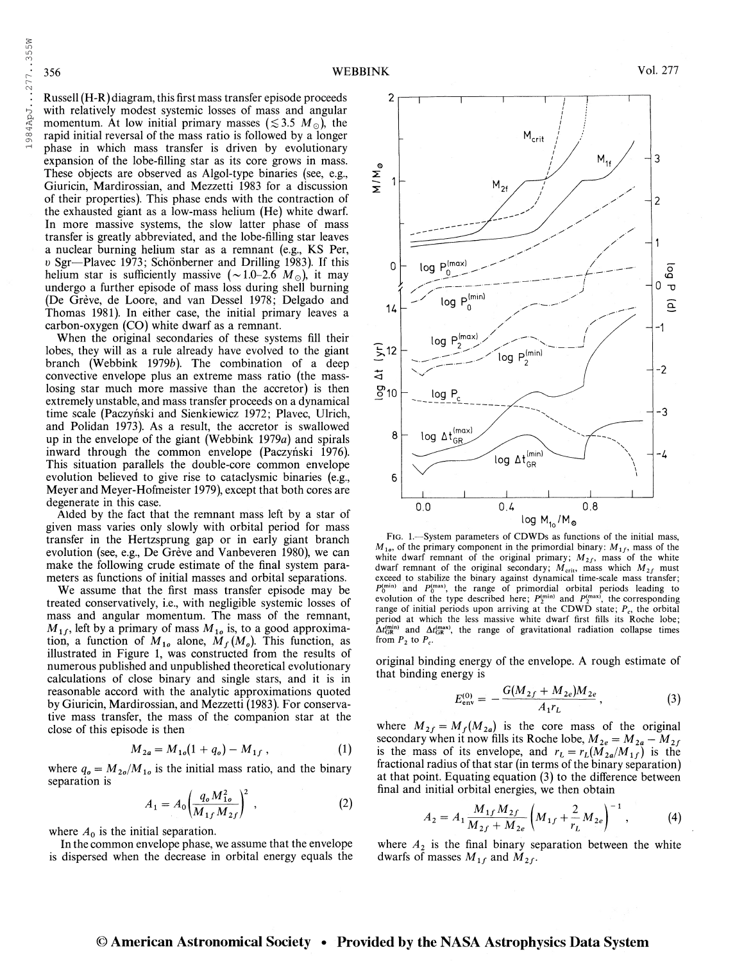Russell (H-R) diagram, this first mass transfer episode proceeds with relatively modest systemic losses of mass and angular momentum. At low initial primary masses  $(\leq 3.5 \, M_\odot)$ , the rapid initial reversal of the mass ratio is followed by a longer phase in which mass transfer is driven by evolutionary expansion of the lobe-filling star as its core grows in mass. These objects are observed as Algol-type binaries (see, e.g., Giuricin, Mardirossian, and Mezzetti 1983 for a discussion of their properties). This phase ends with the contraction of the exhausted giant as a low-mass helium (He) white dwarf. In more massive systems, the slow latter phase of mass transfer is greatly abbreviated, and the lobe-filling star leaves a nuclear burning helium star as a remnant (e.g., KS Per, <sup>o</sup> Sgr—Plavec 1973; Schönberner and Drilling 1983). If this helium star is sufficiently massive  $({\sim}1.0{\sim}2.6~M_{\odot})$ , it may undergo a further episode of mass loss during shell burning (De Grève, de Loore, and van Dessel 1978; Delgado and Thomas 1981). In either case, the initial primary leaves a carbon-oxygen (CO) white dwarf as a remnant.

When the original secondaries of these systems fill their lobes, they will as a rule already have evolved to the giant branch (Webbink 1979b). The combination of a deep convective envelope plus an extreme mass ratio (the masslosing star much more massive than the accretor) is then extremely unstable, and mass transfer proceeds on a dynamical time scale (Paczyński and Sienkiewicz 1972; Plavec, Ulrich, and Polidan 1973). As a result, the accretor is swallowed up in the envelope of the giant (Webbink  $1979a$ ) and spirals inward through the common envelope (Paczyński 1976). This situation parallels the double-core common envelope evolution believed to give rise to cataclysmic binaries (e.g., Meyer and Meyer-Hofmeister 1979), except that both cores are degenerate in this case.

Aided by the fact that the remnant mass left by a star of given mass varies only slowly with orbital period for mass transfer in the Hertzsprung gap or in early giant branch evolution (see, e.g., De Grève and Vanbeveren 1980), we can make the following crude estimate of the final system parameters as functions of initial masses and orbital separations.

We assume that the first mass transfer episode may be treated conservatively, i.e., with negligible systemic losses of mass and angular momentum. The mass of the remnant,  $M_{1f}$ , left by a primary of mass  $M_{10}$  is, to a good approximation, a function of  $M_{10}$  alone,  $M_f(M_o)$ . This function, as illustrated in Figure 1, was constructed from the results of numerous published and unpublished theoretical evolutionary calculations of close binary and single stars, and it is in reasonable accord with the analytic approximations quoted by Giuricin, Mardirossian, and Mezzetti (1983). For conservative mass transfer, the mass of the companion star at the close of this episode is then

$$
M_{2a} = M_{1o}(1 + q_o) - M_{1f}, \qquad (1)
$$

where  $q_o = M_{2o}/M_{1o}$  is the initial mass ratio, and the binary separation is

$$
A_1 = A_0 \left(\frac{q_o M_{1o}^2}{M_{1f} M_{2f}}\right)^2 \,, \tag{2}
$$

where  $A_0$  is the initial separation.

In the common envelope phase, we assume that the envelope is dispersed when the decrease in orbital energy equals the



FIG. 1.-System parameters of CDWDs as functions of the initial mass,  $M_{10}$ , of the primary component in the primordial binary:  $M_{11}$ , mass of the white dwarf remnant of the original primary;  $M_{21}$ , mass of the white dwarf remnant of the original secondary;  $M_{\text{crit}}$ , mass which  $M_{2f}$  must exceed to stabilize the binary against dynamical time-scale mass transfer;  $P_0^{\text{(min)}}$  and  $P_0^{\text{(max)}}$ , the range of primordial orbital periods leading to evolution of the type described here;  $P_2^{\text{(min)}}$  and  $P_2^{\text{(max)}}$ , the corresponding range of initial periods upon arriving at the CDWD state;  $P_c$ , the orbital period at which the less massive white dwarf first fills its Roche lobe;  $\Delta t_{\rm GR}^{(\rm min)}$  and  $\Delta t_{\rm GR}^{(\rm max)}$ , the range of gravitational radiation collapse times from  $P_2$  to  $P_c$ .

original binding energy of the envelope. A rough estimate of that binding energy is

$$
E_{\text{env}}^{(0)} = -\frac{G(M_{2f} + M_{2e})M_{2e}}{A_1r_L}, \qquad (3)
$$

where  $M_{2f} = M_f (M_{2a})$  is the core mass of the original secondary when it now fills its Roche lobe,  $M_{2e} = M_{2a} - M_{2f}$ is the mass of its envelope, and  $r_L = r_L(M_{2a}/M_{1f})$  is the fractional radius of that star (in terms of the binary separation) at that point. Equating equation (3) to the difference between final and initial orbital energies, we then obtain

$$
A_2 = A_1 \frac{M_{1f} M_{2f}}{M_{2f} + M_{2e}} \left( M_{1f} + \frac{2}{r_L} M_{2e} \right)^{-1}, \tag{4}
$$

where  $A_2$  is the final binary separation between the white dwarfs of masses  $M_{1f}$  and  $M_{2f}$ .

# © American Astronomical Society • Provided by the NASA Astrophysics Data System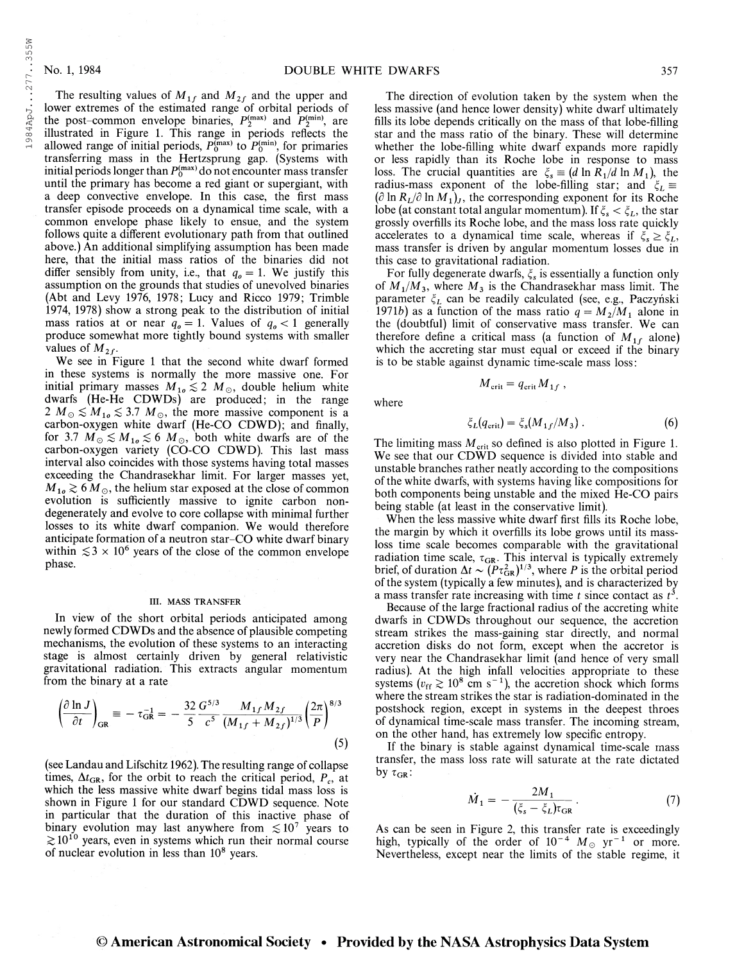The resulting values of  $M_{1f}$  and  $M_{2f}$  and the upper and lower extremes of the estimated range of orbital periods of the post-common envelope binaries,  $P_2^{(\text{max})}$  and  $P_2^{(\text{min})}$ , are illustrated in Figure 1. This range in periods reflects the allowed range of initial periods,  $P_0^{(\text{max})}$  to  $P_0^{(\text{min})}$ , for primaries transferring mass in the Hertzsprung gap. (Systems with initial periods longer than  $P_0^{\text{(max)}}$  do not encounter mass transfer until the primary has become a red giant or supergiant, with a deep convective envelope. In this case, the first mass transfer episode proceeds on a dynamical time scale, with a common envelope phase likely to ensue, and the system follows quite a different evolutionary path from that outlined above.) An additional simplifying assumption has been made here, that the initial mass ratios of the binaries did not differ sensibly from unity, i.e., that  $q_0 = 1$ . We justify this assumption on the grounds that studies of unevolved binaries (Abt and Levy 1976, 1978; Lucy and Ricco 1979; Trimble 1974, 1978) show a strong peak to the distribution of initial mass ratios at or near  $q_0 = 1$ . Values of  $q_0 < 1$  generally produce somewhat more tightly bound systems with smaller values of  $M_{2f}$ .

We see in Figure <sup>1</sup> that the second white dwarf formed in these systems is normally the more massive one. For initial primary masses  $M_{10} \lesssim 2 M_{\odot}$ , double helium white dwarfs (He-He CDWDs) are produced; in the range 2  $M_{\odot} \lesssim M_{10} \lesssim 3.7$   $M_{\odot}$ , the more massive component is a carbon-oxygen white dwarf (He-CO CDWD); and finally, for 3.7  $M_{\odot} \lesssim M_{10} \lesssim 6$   $M_{\odot}$ , both white dwarfs are of the carbon-oxygen variety (CO-CO CDWD). This last mass interval also coincides with those systems having total masses exceeding the Chandrasekhar limit. For larger masses yet,  $M_{10} \gtrsim 6 M_{\odot}$ , the helium star exposed at the close of common evolution is sufficiently massive to ignite carbon nondegenerately and evolve to core collapse with minimal further losses to its white dwarf companion. We would therefore anticipate formation of a neutron star-CO white dwarf binary within  $\leq 3 \times 10^6$  years of the close of the common envelope phase.

#### III. MASS TRANSFER

In view of the short orbital periods anticipated among newly formed CDWDs and the absence of plausible competing mechanisms, the evolution of these systems to an interacting stage is almost certainly driven by general relativistic gravitational radiation. This extracts angular momentum from the binary at a rate

$$
\left(\frac{\partial \ln J}{\partial t}\right)_{\text{GR}} \equiv -\tau_{\text{GR}}^{-1} = -\frac{32}{5} \frac{G^{5/3}}{c^5} \frac{M_{1f} M_{2f}}{(M_{1f} + M_{2f})^{1/3}} \left(\frac{2\pi}{P}\right)^{8/3}
$$
\n(5)

(see Landau and Lifschitz 1962). The resulting range of collapse times,  $\Delta t_{GR}$ , for the orbit to reach the critical period,  $P_c$ , at which the less massive white dwarf begins tidal mass loss is shown in Figure <sup>1</sup> for our standard CDWD sequence. Note in particular that the duration of this inactive phase of binary evolution may last anywhere from  $\lesssim 10^7$  years to  $\gtrsim 10^{10}$  years, even in systems which run their normal course of nuclear evolution in less than  $10^8$  years.

The direction of evolution taken by the system when the less massive (and hence lower density) white dwarf ultimately fills its lobe depends critically on the mass of that lobe-filling star and the mass ratio of the binary. These will determine whether the lobe-filling white dwarf expands more rapidly or less rapidly than its Roche lobe in response to mass loss. The crucial quantities are  $\xi_s \equiv (d \ln R_1/d \ln M_1)$ , the radius-mass exponent of the lobe-filling star; and  $\xi_L$  $(\partial \ln R_L/\partial \ln M_1)$ , the corresponding exponent for its Roche lobe (at constant total angular momentum). If  $\xi_s < \xi_L$ , the star grossly overfills its Roche lobe, and the mass loss rate quickly accelerates to a dynamical time scale, whereas if  $\xi_s \geq \xi_L$ , mass transfer is driven by angular momentum losses due in this case to gravitational radiation.

For fully degenerate dwarfs,  $\xi_s$  is essentially a function only of  $M_1/M_3$ , where  $M_3$  is the Chandrasekhar mass limit. The parameter  $\xi_L$  can be readily calculated (see, e.g., Paczyński 1971b) as a function of the mass ratio  $q = M_2/M_1$  alone in the (doubtful) limit of conservative mass transfer. We can therefore define a critical mass (a function of  $M_{1f}$  alone) which the accreting star must equal or exceed if the binary is to be stable against dynamic time-scale mass loss:

 $M_{\rm crit} = q_{\rm crit} M_{1f}$ ,

where

$$
\xi_L(q_{\rm crit}) = \xi_s(M_{1f}/M_3) \,. \tag{6}
$$

The limiting mass  $M_{\text{crit}}$  so defined is also plotted in Figure 1. We see that our CDWD sequence is divided into stable and unstable branches rather neatly according to the compositions of the white dwarfs, with systems having like compositions for both components being unstable and the mixed He-CO pairs being stable (at least in the conservative limit).

When the less massive white dwarf first fills its Roche lobe, the margin by which it overfills its lobe grows until its massloss time scale becomes comparable with the gravitational radiation time scale,  $\tau_{GR}$ . This interval is typically extremely brief, of duration  $\Delta t \sim (P \tau_{GR}^2)^{1/3}$ , where P is the orbital period of the system (typically a few minutes), and is characterized by a mass transfer rate increasing with time t since contact as  $t^3$ .

Because of the large fractional radius of the accreting white dwarfs in CDWDs throughout our sequence, the accretion stream strikes the mass-gaining star directly, and normal accretion disks do not form, except when the accretor is very near the Chandrasekhar limit (and hence of very small radius). At the high infall velocities appropriate to these radius). At the high infall velocities appropriate to these<br>systems ( $v_{\text{ff}} \gtrsim 10^8$  cm s<sup>-1</sup>), the accretion shock which forms where the stream strikes the star is radiation-dominated in the postshock region, except in systems in the deepest throes of dynamical time-scale mass transfer. The incoming stream, on the other hand, has extremely low specific entropy.

If the binary is stable against dynamical time-scale mass transfer, the mass loss rate will saturate at the rate dictated by  $\tau_{GR}$ :

$$
\dot{M}_1 = -\frac{2M_1}{(\xi_s - \xi_L)\tau_{GR}}.\tag{7}
$$

As can be seen in Figure 2, this transfer rate is exceedingly As can be seen in Figure 2, this transfer rate is exceedingly<br>high, typically of the order of  $10^{-4}$   $M_{\odot}$  yr<sup>-1</sup> or more. Nevertheless, except near the limits of the stable regime, it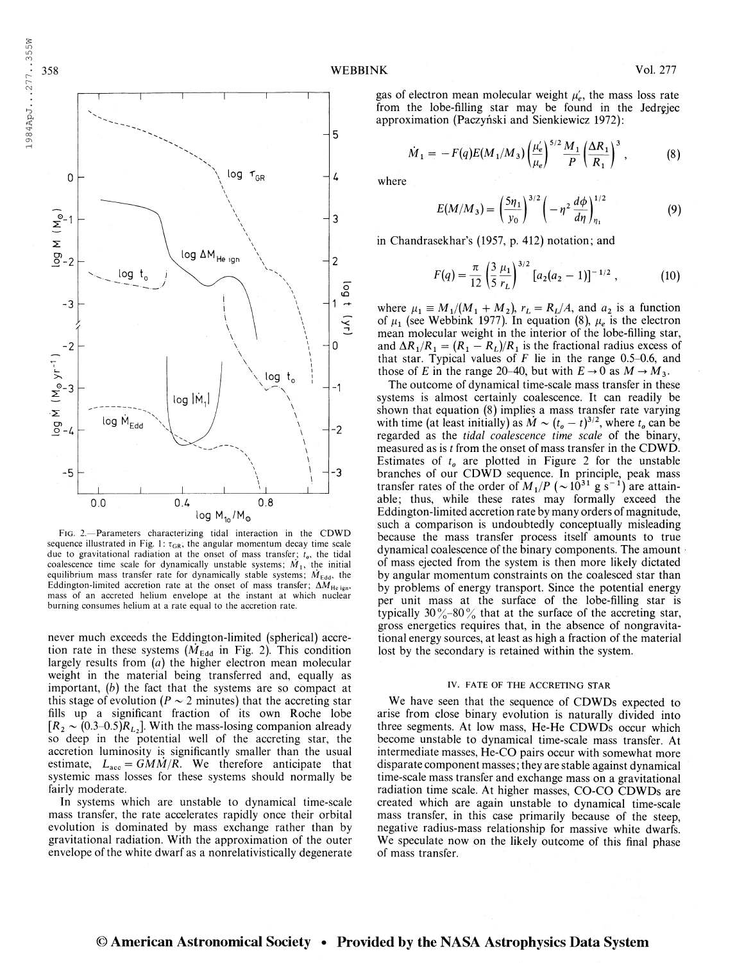

Fig. 2.—Parameters characterizing tidal interaction in the CDWD sequence illustrated in Fig. 1:  $\tau_{GR}$ , the angular momentum decay time scale due to gravitational radiation at the onset of mass transfer;  $t<sub>o</sub>$ , the tidal coalescence time scale for dynamically unstable systems;  $\dot{M}_1$ , the initial equilibrium mass transfer rate for dynamically stable systems;  $\dot{M}_{\text{Edd}}$ , the Eddington-limited accretion rate at the onset of mass transfer;  $\Delta M_{He\,ign}$ , mass of an accreted helium envelope at the instant at which nuclear burning consumes helium at a rate equal to the accretion rate.

never much exceeds the Eddington-limited (spherical) accretion rate in these systems  $(M_{\text{Edd}})$  in Fig. 2). This condition largely results from  $(a)$  the higher electron mean molecular weight in the material being transferred and, equally as important, (b) the fact that the systems are so compact at this stage of evolution ( $P \sim 2$  minutes) that the accreting star fills up a significant fraction of its own Roche lobe  $[R_2 \sim (0.3-0.5)R_{L_2}]$ . With the mass-losing companion already so deep in the potential well of the accreting star, the accretion luminosity is significantly smaller than the usual estimate,  $L_{\text{acc}} = \frac{GM\dot{M}}{R}$ . We therefore anticipate that systemic mass losses for these systems should normally be fairly moderate.

In systems which are unstable to dynamical time-scale mass transfer, the rate accelerates rapidly once their orbital evolution is dominated by mass exchange rather than by gravitational radiation. With the approximation of the outer envelope of the white dwarf as a nonrelativistically degenerate

gas of electron mean molecular weight  $\mu'_e$ , the mass loss rate from the lobe-filling star may be found in the Jedrçjec approximation (Paczyński and Sienkiewicz 1972):

$$
\dot{M}_1 = -F(q)E(M_1/M_3)\left(\frac{\mu'_e}{\mu_e}\right)^{5/2}\frac{M_1}{P}\left(\frac{\Delta R_1}{R_1}\right)^3\,,\tag{8}
$$

where

$$
E(M/M_3) = \left(\frac{5\eta_1}{y_0}\right)^{3/2} \left(-\eta^2 \frac{d\phi}{d\eta}\right)_{\eta_1}^{1/2}
$$
 (9)

in Chandrasekhar's (1957, p. 412) notation; and

$$
F(q) = \frac{\pi}{12} \left(\frac{3}{5} \frac{\mu_1}{r_L}\right)^{3/2} \left[a_2(a_2 - 1)\right]^{-1/2}, \tag{10}
$$

where  $\mu_1 \equiv M_1/(M_1 + M_2)$ ,  $r_L = R_L/A$ , and  $a_2$  is a function of  $\mu_1$  (see Webbink 1977). In equation (8),  $\mu_e$  is the electron mean molecular weight in the interior of the lobe-filling star, and  $\Delta R_1/R_1 = (R_1 - R_L)/R_1$  is the fractional radius excess of that star. Typical values of  $F$  lie in the range 0.5-0.6, and those of E in the range 20–40, but with  $E \to 0$  as  $M \to M_3$ .

The outcome of dynamical time-scale mass transfer in these systems is almost certainly coalescence. It can readily be shown that equation (8) implies a mass transfer rate varying with time (at least initially) as  $\dot{M} \sim (t_o - t)^{3/2}$ , where  $t_o$  can be regarded as the tidal coalescence time scale of the binary, measured as is t from the onset of mass transfer in the CDWD. Estimates of  $t_0$  are plotted in Figure 2 for the unstable branches of our CDWD sequence. In principle, peak mass<br>transfer rates of the order of  $M_1/P$  ( $\sim 10^{31}$  g s<sup>-1</sup>) are attainable; thus, while these rates may formally exceed the Eddington-limited accretion rate by many orders of magnitude, such a comparison is undoubtedly conceptually misleading because the mass transfer process itself amounts to true dynamical coalescence of the binary components. The amount of mass ejected from the system is then more likely dictated by angular momentum constraints on the coalesced star than by problems of energy transport. Since the potential energy per unit mass at the surface of the lobe-filling star is typically  $30\frac{9}{6} - 80\frac{9}{6}$  that at the surface of the accreting star, gross energetics requires that, in the absence of nongravitational energy sources, at least as high a fraction of the material lost by the secondary is retained within the system.

#### IV. FATE OF THE ACCRETING STAR

We have seen that the sequence of CDWDs expected to arise from close binary evolution is naturally divided into three segments. At low mass, He-He CDWDs occur which become unstable to dynamical time-scale mass transfer. At intermediate masses, He-CO pairs occur with somewhat more disparate component masses; they are stable against dynamical time-scale mass transfer and exchange mass on a gravitational radiation time scale. At higher masses, CO-CO CDWDs are created which are again unstable to dynamical time-scale mass transfer, in this case primarily because of the steep, negative radius-mass relationship for massive white dwarfs. We speculate now on the likely outcome of this final phase of mass transfer.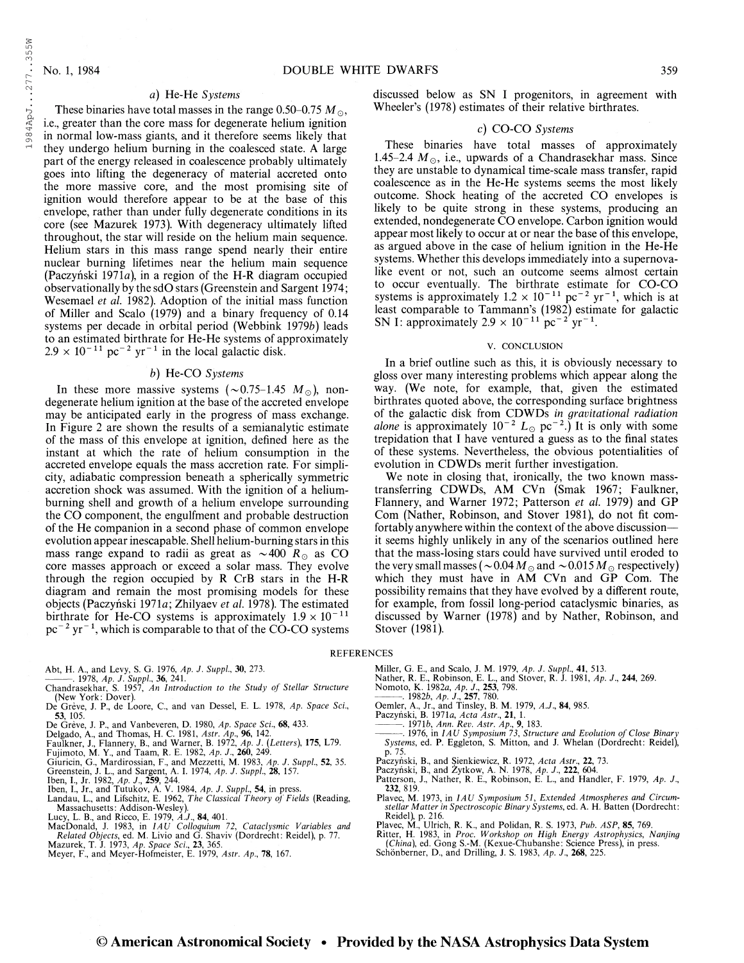1984ApJ...277..355W

### a) He-He Systems

These binaries have total masses in the range 0.50–0.75  $M_{\odot}$ , i.e., greater than the core mass for degenerate helium ignition in normal low-mass giants, and it therefore seems likely that they undergo helium burning in the coalesced state. A large part of the energy released in coalescence probably ultimately goes into lifting the degeneracy of material accreted onto the more massive core, and the most promising site of ignition would therefore appear to be at the base of this envelope, rather than under fully degenerate conditions in its core (see Mazurek 1973). With degeneracy ultimately lifted throughout, the star will reside on the helium main sequence. Helium stars in this mass range spend nearly their entire nuclear burning lifetimes near the helium main sequence (Paczyński 1971a), in a region of the H-R diagram occupied observationally by the sdO stars (Greenstein and Sargent 1974; Wesemael et al. 1982). Adoption of the initial mass function of Miller and Scalo (1979) and a binary frequency of 0.14 systems per decade in orbital period (Webbink 1979b) leads to an estimated birthrate for He-He systems of approximately to an estimated birthrate for He-He systems of a<br>2.9  $\times$  10<sup>-11</sup> pc<sup>-2</sup> yr<sup>-1</sup> in the local galactic disk.

#### b) He-CO Systems

In these more massive systems  $(\sim 0.75-1.45 M_{\odot})$ , nondegenerate helium ignition at the base of the accreted envelope may be anticipated early in the progress of mass exchange. In Figure 2 are shown the results of a semianalytic estimate of the mass of this envelope at ignition, defined here as the instant at which the rate of helium consumption in the accreted envelope equals the mass accretion rate. For simplicity, adiabatic compression beneath a spherically symmetric accretion shock was assumed. With the ignition of a heliumburning shell and growth of a helium envelope surrounding the CO component, the engulfment and probable destruction of the He companion in a second phase of common envelope evolution appear inescapable. Shell helium-burning stars in this mass range expand to radii as great as  $\sim$  400 R<sub> $\odot$ </sub> as CO core masses approach or exceed a solar mass. They evolve through the region occupied by R CrB stars in the H-R diagram and remain the most promising models for these objects (Paczyński 1971a; Zhilyaev et al. 1978). The estimated birthrate for He-CO systems is approximately  $1.9 \times 10^{-11}$ bituate for He-CO systems is approximately  $1.9 \times 10^{-7}$  pc<sup>-2</sup> yr<sup>-1</sup>, which is comparable to that of the CO-CO systems

- 
- 
- Abt, H. A., and Levy, S. G. 1976, *Ap. J. Suppl., 3*0, 273.<br>————. 1978, *Ap. J. Suppl., 3*6, 241.<br>Chandrasekhar, S. 1957, *An Introduction to the Study of Stellar Structure* (New York: Dover).
- De Grève, J. P., de Loore, C., and van Dessel, E. L. 1978, Ap. Space Sci., 53, 105.
- 
- 
- 
- 
- 
- 
- 
- **53,** 105.<br>
De Grève, J. P., and Vanbeveren, D. 1980, Ap. Space Sci., **68**, 433.<br>
Delgado, A., and Thomas, H. C. 1981, Astr. Ap., **96**, 142.<br>
Faulkner, J., Flannery, B., and Warner, B. 1972, Ap. J. (Letters), 175, L79.<br>
F
- 
- 
- Massachusetts: Addison-Wesley).<br>Lucy, L. B., and Ricco, E. 1979, A.J., 84, 401.<br>MacDonald, J. 1983, in *IAU Colloquium 72, Cataclysmic Variables and*<br>*Related Objects*, ed. M. Livio and G. Shaviv (Dordrecht: Reidel), p. 77
- 
- Meyer, F., and Meyer-Hofmeister, E. 1979, Astr. Ap., 78, 167.

discussed below as SN I progenitors, in agreement with Wheeler's (1978) estimates of their relative birthrates.

### c) CO-CO Systems

These binaries have total masses of approximately 1.45-2.4  $M_{\odot}$ , i.e., upwards of a Chandrasekhar mass. Since they are unstable to dynamical time-scale mass transfer, rapid coalescence as in the He-He systems seems the most likely outcome. Shock heating of the accreted CO envelopes is likely to be quite strong in these systems, producing an extended, nondegenerate CO envelope. Carbon ignition would appear most likely to occur at or near the base of this envelope, as argued above in the case of helium ignition in the He-He systems. Whether this develops immediately into a supernovalike event or not, such an outcome seems almost certain to occur eventually. The birthrate estimate for CO-CO to occur eventually. The birthrate estimate for CO-CO<br>systems is approximately  $1.2 \times 10^{-11}$  pc<sup>-2</sup> yr<sup>-1</sup>, which is at least comparable to Tammann's (1982) estimate for galactic least comparable to Tammann's (1982) estin<br>SN I: approximately 2.9  $\times$  10<sup>-11</sup> pc<sup>-2</sup> yr<sup>-1</sup>.

#### v. CONCLUSION

In a brief outline such as this, it is obviously necessary to gloss over many interesting problems which appear along the way. (We note, for example, that, given the estimated birthrates quoted above, the corresponding surface brightness of the galactic disk from CDWDs in gravitational radiation of the galactic disk from CDWDs in gravitational radiation<br>alone is approximately  $10^{-2} L_{\odot}$  pc<sup>-2</sup>.) It is only with some trepidation that I have ventured a guess as to the final states of these systems. Nevertheless, the obvious potentialities of evolution in CDWDs merit further investigation.

We note in closing that, ironically, the two known masstransferring CDWDs, AM CVn (Smak 1967; Faulkner, Flannery, and Warner 1972; Patterson et al. 1979) and GP Com (Nather, Robinson, and Stover 1981), do not fit comfortably anywhere within the context of the above discussion it seems highly unlikely in any of the scenarios outlined here that the mass-losing stars could have survived until eroded to the very small masses (  $\sim$  0.04  $M$   $_{\odot}$  and  $\sim$  0.015  $M$   $_{\odot}$  respectively) which they must have in AM CVn and GP Com. The possibility remains that they have evolved by a different route, for example, from fossil long-period cataclysmic binaries, as discussed by Warner (1978) and by Nather, Robinson, and Stover (1981).

#### **REFERENCES**

- Miller, G. E., and Scalo, J. M. 1979, Ap. J. Suppl, 41, 513.
- Nather, R. E., Robinson, E. L., and Stover, R. J. 1981, Ap. J., 244, 269.<br>Nomoto, K. 1982*a, Ap. J.*, 253, 798.<br>---------- 1982*b, Ap. J.*, 257, 780.
- 
- 
- 
- Oemler, A., Jr., and Tinsley, B. M. 1979, A.J., 84, 985.<br>Paczyński, B. 1971*a, Acta Astr.*, 21, 1.<br>——— 1971*b, Ann. Rev. Astr. Ap.*, 9, 183.<br>——— 1976, in *IAU Symposium* 73, *Structure and Evolution of Close Binary*<br>System
- p. 75.
- 
- Paczyński, B., and Sienkiewicz, R. 1972, Acta Astr., 22, 73.<br>Paczyński, B., and Żytkow, A. N. 1978, Ap. J., 222, 604.<br>Patterson, J., Nather, R. E., Robinson, E. L., and Handler, F. 1979, Ap. J.,<br>232, 819.
- Plavec, M. 1973, in IAU Symposium 51, Extended Atmospheres and Circum-stellar Matter in Spectroscopic Binary Systems, ed. A. H. Batten (Dordrecht: Reidel), p. 216.
- 
- 
- Plavec, M., Ulrich, R. K., and Polidan, R. S. 1973, Pub. ASP, 85, 769.<br>Ritter, H. 1983, in Proc. Workshop on High Energy Astrophysics, Nanjing<br>(China), ed. Gong S.-M. (Kexue-Chubanshe: Science Press), in press. Schönberner, D., and Drilling, J. S. 1983, Ap. J., 268, 225.